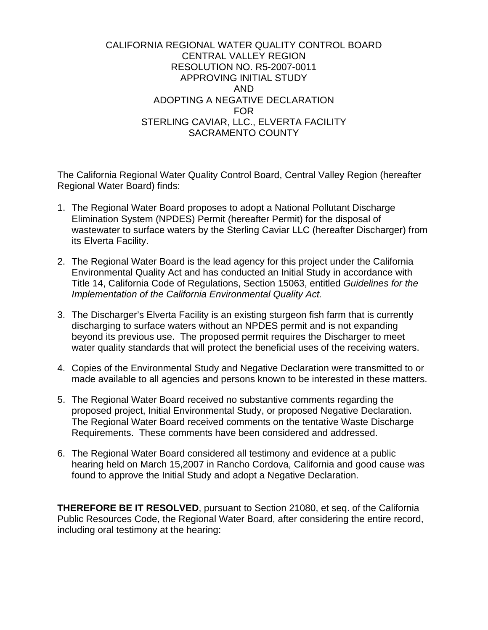#### CALIFORNIA REGIONAL WATER QUALITY CONTROL BOARD CENTRAL VALLEY REGION RESOLUTION NO. R5-2007-0011 APPROVING INITIAL STUDY AND ADOPTING A NEGATIVE DECLARATION FOR STERLING CAVIAR, LLC., ELVERTA FACILITY SACRAMENTO COUNTY

The California Regional Water Quality Control Board, Central Valley Region (hereafter Regional Water Board) finds:

- 1. The Regional Water Board proposes to adopt a National Pollutant Discharge Elimination System (NPDES) Permit (hereafter Permit) for the disposal of wastewater to surface waters by the Sterling Caviar LLC (hereafter Discharger) from its Elverta Facility.
- 2. The Regional Water Board is the lead agency for this project under the California Environmental Quality Act and has conducted an Initial Study in accordance with Title 14, California Code of Regulations, Section 15063, entitled *Guidelines for the Implementation of the California Environmental Quality Act.*
- 3. The Discharger's Elverta Facility is an existing sturgeon fish farm that is currently discharging to surface waters without an NPDES permit and is not expanding beyond its previous use. The proposed permit requires the Discharger to meet water quality standards that will protect the beneficial uses of the receiving waters.
- 4. Copies of the Environmental Study and Negative Declaration were transmitted to or made available to all agencies and persons known to be interested in these matters.
- 5. The Regional Water Board received no substantive comments regarding the proposed project, Initial Environmental Study, or proposed Negative Declaration. The Regional Water Board received comments on the tentative Waste Discharge Requirements. These comments have been considered and addressed.
- 6. The Regional Water Board considered all testimony and evidence at a public hearing held on March 15,2007 in Rancho Cordova, California and good cause was found to approve the Initial Study and adopt a Negative Declaration.

**THEREFORE BE IT RESOLVED**, pursuant to Section 21080, et seq. of the California Public Resources Code, the Regional Water Board, after considering the entire record, including oral testimony at the hearing: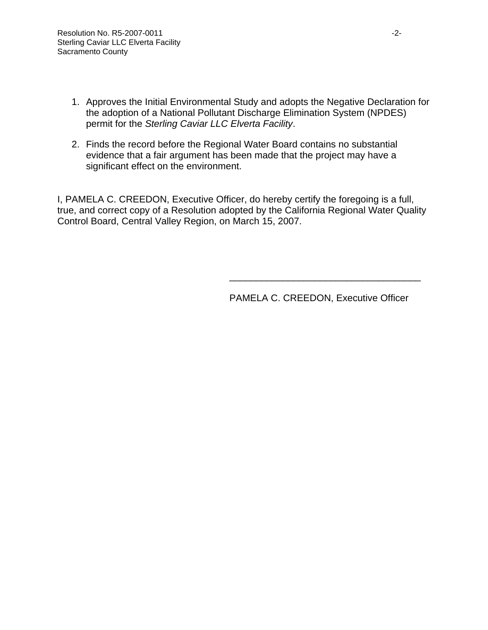- 1. Approves the Initial Environmental Study and adopts the Negative Declaration for the adoption of a National Pollutant Discharge Elimination System (NPDES) permit for the *Sterling Caviar LLC Elverta Facility*.
- 2. Finds the record before the Regional Water Board contains no substantial evidence that a fair argument has been made that the project may have a significant effect on the environment.

I, PAMELA C. CREEDON, Executive Officer, do hereby certify the foregoing is a full, true, and correct copy of a Resolution adopted by the California Regional Water Quality Control Board, Central Valley Region, on March 15, 2007.

 $\frac{1}{\sqrt{2\pi}}$  , which is a set of the set of the set of the set of the set of the set of the set of the set of the set of the set of the set of the set of the set of the set of the set of the set of the set of the set of

PAMELA C. CREEDON, Executive Officer